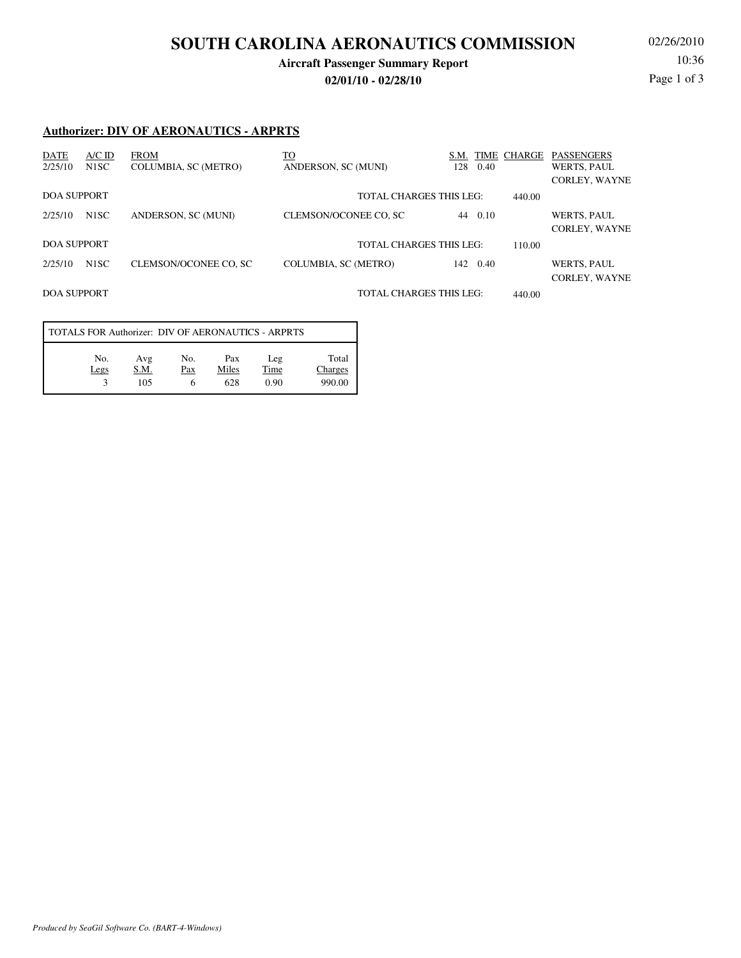# **SOUTH CAROLINA AERONAUTICS COMMISSION**

### **Aircraft Passenger Summary Report**

**02/01/10 - 02/28/10**

02/26/2010 10:36 Page 1 of 3

### **Authorizer: DIV OF AERONAUTICS - ARPRTS**

| DATE<br>2/25/10                               | $A/C$ ID<br>N1SC  | <b>FROM</b><br>COLUMBIA, SC (METRO) | <u>то</u><br>ANDERSON, SC (MUNI) | S.M.<br>128 | 0.40   | <b>TIME CHARGE</b> | <b>PASSENGERS</b><br>WERTS, PAUL    |
|-----------------------------------------------|-------------------|-------------------------------------|----------------------------------|-------------|--------|--------------------|-------------------------------------|
|                                               |                   |                                     |                                  |             |        |                    | CORLEY, WAYNE                       |
| <b>DOA SUPPORT</b><br>TOTAL CHARGES THIS LEG: |                   |                                     |                                  |             | 440.00 |                    |                                     |
| 2/25/10                                       | N <sub>1</sub> SC | ANDERSON, SC (MUNI)                 | CLEMSON/OCONEE CO, SC            | 44 0.10     |        |                    | WERTS, PAUL<br><b>CORLEY, WAYNE</b> |
| <b>DOA SUPPORT</b><br>TOTAL CHARGES THIS LEG: |                   |                                     | 110.00                           |             |        |                    |                                     |
| 2/25/10                                       | N1SC              | CLEMSON/OCONEE CO, SC               | COLUMBIA, SC (METRO)             | 142         | 0.40   |                    | WERTS, PAUL<br>CORLEY, WAYNE        |
| <b>DOA SUPPORT</b><br>TOTAL CHARGES THIS LEG: |                   |                                     |                                  | 440.00      |        |                    |                                     |

| TOTALS FOR Authorizer: DIV OF AERONAUTICS - ARPRTS |                    |            |                     |                     |                            |  |  |  |  |
|----------------------------------------------------|--------------------|------------|---------------------|---------------------|----------------------------|--|--|--|--|
| No.<br>Legs                                        | Avg<br>S.M.<br>105 | No.<br>Pax | Pax<br>Miles<br>628 | Leg<br>Time<br>0.90 | Total<br>Charges<br>990.00 |  |  |  |  |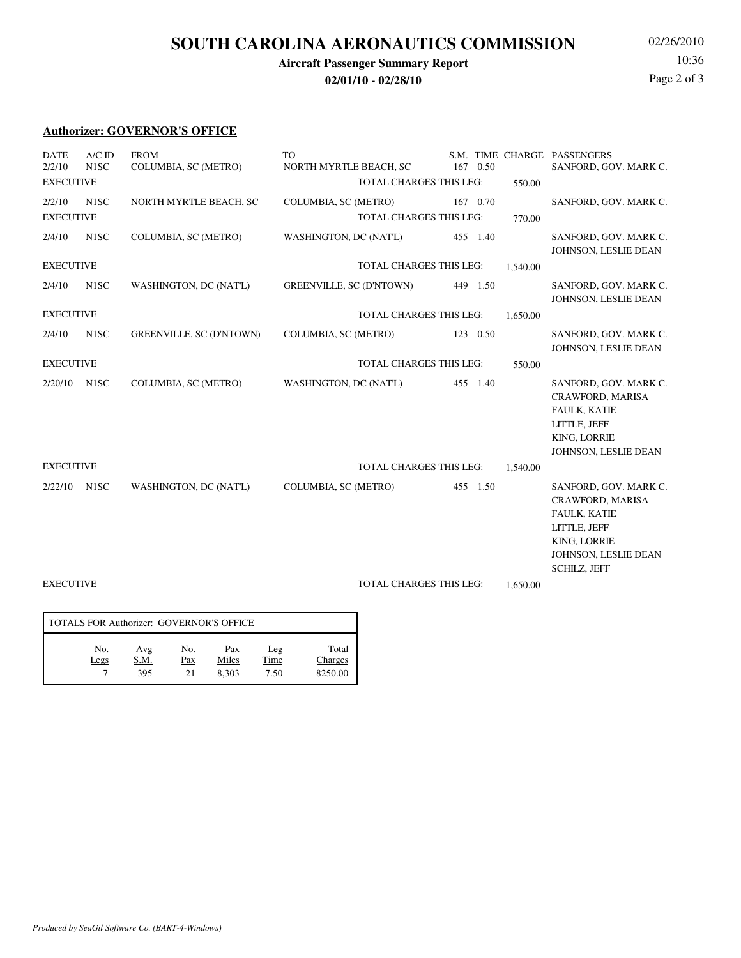## **SOUTH CAROLINA AERONAUTICS COMMISSION**

## **Aircraft Passenger Summary Report**

**02/01/10 - 02/28/10**

02/26/2010 10:36 Page 2 of 3

### **Authorizer: GOVERNOR'S OFFICE**

| <b>DATE</b><br>2/2/10 | $A/C$ ID<br>N1SC  | <b>FROM</b><br>COLUMBIA, SC (METRO) | TO<br>NORTH MYRTLE BEACH, SC    | 167                                 | 0.50 |          | S.M. TIME CHARGE PASSENGERS<br>SANFORD, GOV. MARK C.                                                                                     |
|-----------------------|-------------------|-------------------------------------|---------------------------------|-------------------------------------|------|----------|------------------------------------------------------------------------------------------------------------------------------------------|
| <b>EXECUTIVE</b>      | 550.00            |                                     |                                 |                                     |      |          |                                                                                                                                          |
| 2/2/10                | N1SC              | NORTH MYRTLE BEACH, SC              | COLUMBIA, SC (METRO)            | 167 0.70                            |      |          | SANFORD, GOV. MARK C.                                                                                                                    |
| <b>EXECUTIVE</b>      |                   |                                     | <b>TOTAL CHARGES THIS LEG:</b>  |                                     |      | 770.00   |                                                                                                                                          |
| 2/4/10                | N <sub>1</sub> SC | COLUMBIA, SC (METRO)                | WASHINGTON, DC (NAT'L)          | 455 1.40                            |      |          | SANFORD, GOV. MARK C.<br>JOHNSON, LESLIE DEAN                                                                                            |
| <b>EXECUTIVE</b>      |                   |                                     | <b>TOTAL CHARGES THIS LEG:</b>  |                                     |      | 1,540.00 |                                                                                                                                          |
| 2/4/10                | N <sub>1</sub> SC | WASHINGTON, DC (NAT'L)              | <b>GREENVILLE, SC (D'NTOWN)</b> | 449 1.50                            |      |          | SANFORD, GOV. MARK C.<br>JOHNSON, LESLIE DEAN                                                                                            |
| <b>EXECUTIVE</b>      |                   |                                     | TOTAL CHARGES THIS LEG:         |                                     |      | 1,650.00 |                                                                                                                                          |
| 2/4/10                | N1SC              | GREENVILLE, SC (D'NTOWN)            | COLUMBIA, SC (METRO)            | 123 0.50                            |      |          | SANFORD, GOV. MARK C.<br>JOHNSON, LESLIE DEAN                                                                                            |
| <b>EXECUTIVE</b>      |                   |                                     |                                 | <b>TOTAL CHARGES THIS LEG:</b>      |      |          |                                                                                                                                          |
| 2/20/10               | N <sub>1</sub> SC | COLUMBIA, SC (METRO)                | WASHINGTON, DC (NAT'L)          | 455 1.40                            |      |          | SANFORD, GOV. MARK C.<br>CRAWFORD, MARISA<br>FAULK, KATIE<br>LITTLE, JEFF<br>KING, LORRIE<br>JOHNSON, LESLIE DEAN                        |
| <b>EXECUTIVE</b>      |                   |                                     |                                 | TOTAL CHARGES THIS LEG:<br>1,540.00 |      |          |                                                                                                                                          |
| 2/22/10               | N <sub>1</sub> SC | WASHINGTON, DC (NAT'L)              | COLUMBIA, SC (METRO)            | 455 1.50                            |      |          | SANFORD, GOV. MARK C.<br>CRAWFORD, MARISA<br>FAULK, KATIE<br>LITTLE, JEFF<br>KING, LORRIE<br>JOHNSON, LESLIE DEAN<br><b>SCHILZ, JEFF</b> |
| <b>EXECUTIVE</b>      |                   |                                     | <b>TOTAL CHARGES THIS LEG:</b>  |                                     |      | 1,650.00 |                                                                                                                                          |

| TOTALS FOR Authorizer: GOVERNOR'S OFFICE |                    |                  |                       |                     |                             |  |  |  |  |
|------------------------------------------|--------------------|------------------|-----------------------|---------------------|-----------------------------|--|--|--|--|
| No.<br>Legs                              | Avg<br>S.M.<br>395 | No.<br>Pax<br>21 | Pax<br>Miles<br>8.303 | Leg<br>Time<br>7.50 | Total<br>Charges<br>8250.00 |  |  |  |  |